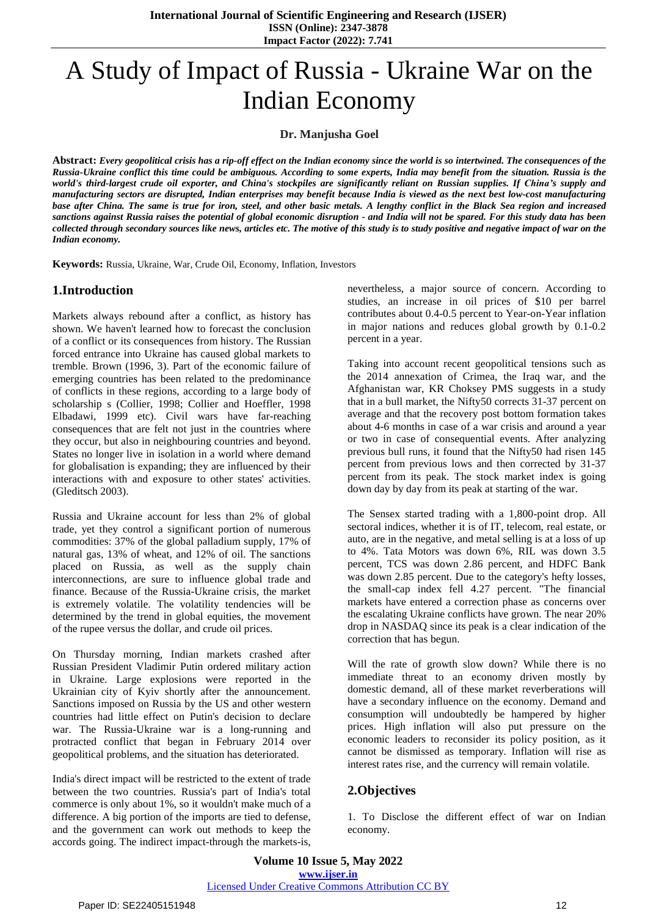# A Study of Impact of Russia - Ukraine War on the Indian Economy

**Dr. Manjusha Goel**

Abstract: Every geopolitical crisis has a rip-off effect on the Indian economy since the world is so intertwined. The consequences of the Russia-Ukraine conflict this time could be ambiguous. According to some experts, India may benefit from the situation. Russia is the world's third-largest crude oil exporter, and China's stockpiles are significantly reliant on Russian supplies. If China's supply and manufacturing sectors are disrupted, Indian enterprises may benefit because India is viewed as the next best low-cost manufacturing base after China. The same is true for iron, steel, and other basic metals. A lengthy conflict in the Black Sea region and increased sanctions against Russia raises the potential of global economic disruption - and India will not be spared. For this study data has been collected through secondary sources like news, articles etc. The motive of this study is to study positive and negative impact of war on the *Indian economy.*

**Keywords:** Russia, Ukraine, War, Crude Oil, Economy, Inflation, Investors

## **1.Introduction**

Markets always rebound after a conflict, as history has shown. We haven't learned how to forecast the conclusion of a conflict or its consequences from history. The Russian forced entrance into Ukraine has caused global markets to tremble. Brown (1996, 3). Part of the economic failure of emerging countries has been related to the predominance of conflicts in these regions, according to a large body of scholarship s (Collier, 1998; Collier and Hoeffler, 1998 Elbadawi, 1999 etc). Civil wars have far-reaching consequences that are felt not just in the countries where they occur, but also in neighbouring countries and beyond. States no longer live in isolation in a world where demand for globalisation is expanding; they are influenced by their interactions with and exposure to other states' activities. (Gleditsch 2003).

Russia and Ukraine account for less than 2% of global trade, yet they control a significant portion of numerous commodities: 37% of the global palladium supply, 17% of natural gas, 13% of wheat, and 12% of oil. The sanctions placed on Russia, as well as the supply chain interconnections, are sure to influence global trade and finance. Because of the Russia-Ukraine crisis, the market is extremely volatile. The volatility tendencies will be determined by the trend in global equities, the movement of the rupee versus the dollar, and crude oil prices.

On Thursday morning, Indian markets crashed after Russian President Vladimir Putin ordered military action in Ukraine. Large explosions were reported in the Ukrainian city of Kyiv shortly after the announcement. Sanctions imposed on Russia by the US and other western countries had little effect on Putin's decision to declare war. The Russia-Ukraine war is a long-running and protracted conflict that began in February 2014 over geopolitical problems, and the situation has deteriorated.

India's direct impact will be restricted to the extent of trade between the two countries. Russia's part of India's total commerce is only about 1%, so it wouldn't make much of a difference. A big portion of the imports are tied to defense, and the government can work out methods to keep the accords going. The indirect impact-through the markets-is,

nevertheless, a major source of concern. According to studies, an increase in oil prices of \$10 per barrel contributes about 0.4-0.5 percent to Year-on-Year inflation in major nations and reduces global growth by 0.1-0.2 percent in a year.

Taking into account recent geopolitical tensions such as the 2014 annexation of Crimea, the Iraq war, and the Afghanistan war, KR Choksey PMS suggests in a study that in a bull market, the Nifty50 corrects 31-37 percent on average and that the recovery post bottom formation takes about 4-6 months in case of a war crisis and around a year or two in case of consequential events. After analyzing previous bull runs, it found that the Nifty50 had risen 145 percent from previous lows and then corrected by 31-37 percent from its peak. The stock market index is going down day by day from its peak at starting of the war.

The Sensex started trading with a 1,800-point drop. All sectoral indices, whether it is of IT, telecom, real estate, or auto, are in the negative, and metal selling is at a loss of up to 4%. Tata Motors was down 6%, RIL was down 3.5 percent, TCS was down 2.86 percent, and HDFC Bank was down 2.85 percent. Due to the category's hefty losses, the small-cap index fell 4.27 percent. "The financial markets have entered a correction phase as concerns over the escalating Ukraine conflicts have grown. The near 20% drop in NASDAQ since its peak is a clear indication of the correction that has begun.

Will the rate of growth slow down? While there is no immediate threat to an economy driven mostly by domestic demand, all of these market reverberations will have a secondary influence on the economy. Demand and consumption will undoubtedly be hampered by higher prices. High inflation will also put pressure on the economic leaders to reconsider its policy position, as it cannot be dismissed as temporary. Inflation will rise as interest rates rise, and the currency will remain volatile.

## **2.Objectives**

1. To Disclose the different effect of war on Indian economy.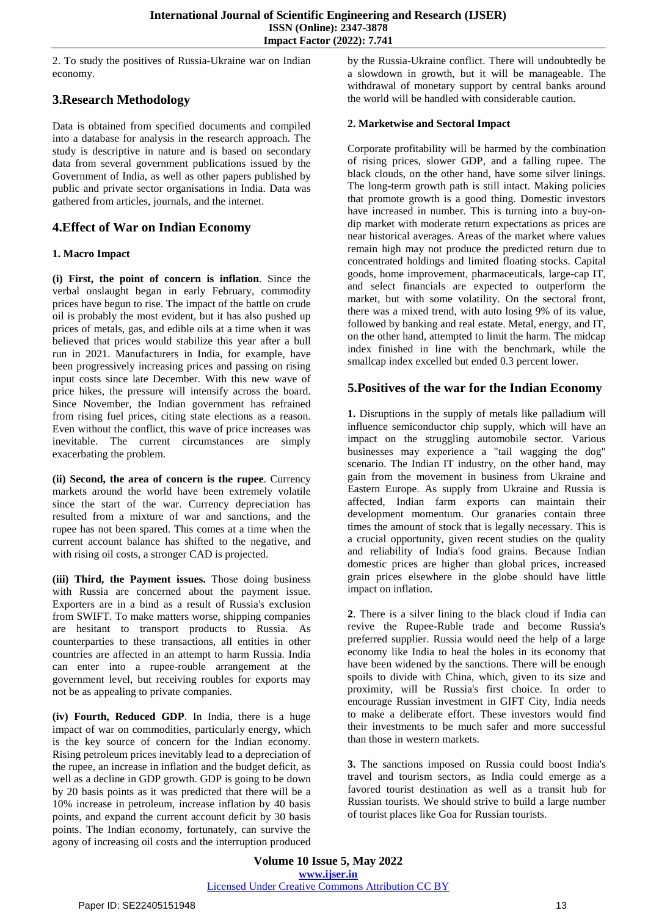2. To study the positives of Russia-Ukraine war on Indian economy.

# **3.Research Methodology**

Data is obtained from specified documents and compiled into a database for analysis in the research approach. The study is descriptive in nature and is based on secondary data from several government publications issued by the Government of India, as well as other papers published by public and private sector organisations in India. Data was gathered from articles, journals, and the internet.

## **4.Effect of War on Indian Economy**

### **1. Macro Impact**

**(i) First, the point of concern is inflation**. Since the verbal onslaught began in early February, commodity prices have begun to rise. The impact of the battle on crude oil is probably the most evident, but it has also pushed up prices of metals, gas, and edible oils at a time when it was believed that prices would stabilize this year after a bull run in 2021. Manufacturers in India, for example, have been progressively increasing prices and passing on rising input costs since late December. With this new wave of price hikes, the pressure will intensify across the board. Since November, the Indian government has refrained from rising fuel prices, citing state elections as a reason. Even without the conflict, this wave of price increases was inevitable. The current circumstances are simply exacerbating the problem.

**(ii) Second, the area of concern is the rupee**. Currency markets around the world have been extremely volatile since the start of the war. Currency depreciation has resulted from a mixture of war and sanctions, and the rupee has not been spared. This comes at a time when the current account balance has shifted to the negative, and with rising oil costs, a stronger CAD is projected.

**(iii) Third, the Payment issues.** Those doing business with Russia are concerned about the payment issue. Exporters are in a bind as a result of Russia's exclusion from SWIFT. To make matters worse, shipping companies are hesitant to transport products to Russia. As counterparties to these transactions, all entities in other countries are affected in an attempt to harm Russia. India can enter into a rupee-rouble arrangement at the government level, but receiving roubles for exports may not be as appealing to private companies.

**(iv) Fourth, Reduced GDP**. In India, there is a huge impact of war on commodities, particularly energy, which is the key source of concern for the Indian economy. Rising petroleum prices inevitably lead to a depreciation of the rupee, an increase in inflation and the budget deficit, as well as a decline in GDP growth. GDP is going to be down by 20 basis points as it was predicted that there will be a 10% increase in petroleum, increase inflation by 40 basis points, and expand the current account deficit by 30 basis points. The Indian economy, fortunately, can survive the agony of increasing oil costs and the interruption produced

by the Russia-Ukraine conflict. There will undoubtedly be a slowdown in growth, but it will be manageable. The withdrawal of monetary support by central banks around the world will be handled with considerable caution.

#### **2. Marketwise and Sectoral Impact**

Corporate profitability will be harmed by the combination of rising prices, slower GDP, and a falling rupee. The black clouds, on the other hand, have some silver linings. The long-term growth path is still intact. Making policies that promote growth is a good thing. Domestic investors have increased in number. This is turning into a buy-ondip market with moderate return expectations as prices are near historical averages. Areas of the market where values remain high may not produce the predicted return due to concentrated holdings and limited floating stocks. Capital goods, home improvement, pharmaceuticals, large-cap IT, and select financials are expected to outperform the market, but with some volatility. On the sectoral front, there was a mixed trend, with auto losing 9% of its value, followed by banking and real estate. Metal, energy, and IT, on the other hand, attempted to limit the harm. The midcap index finished in line with the benchmark, while the smallcap index excelled but ended 0.3 percent lower.

# **5.Positives of the war for the Indian Economy**

**1.** Disruptions in the supply of metals like palladium will influence semiconductor chip supply, which will have an impact on the struggling automobile sector. Various businesses may experience a "tail wagging the dog" scenario. The Indian IT industry, on the other hand, may gain from the movement in business from Ukraine and Eastern Europe. As supply from Ukraine and Russia is affected, Indian farm exports can maintain their development momentum. Our granaries contain three times the amount of stock that is legally necessary. This is a crucial opportunity, given recent studies on the quality and reliability of India's food grains. Because Indian domestic prices are higher than global prices, increased grain prices elsewhere in the globe should have little impact on inflation.

**2**. There is a silver lining to the black cloud if India can revive the Rupee-Ruble trade and become Russia's preferred supplier. Russia would need the help of a large economy like India to heal the holes in its economy that have been widened by the sanctions. There will be enough spoils to divide with China, which, given to its size and proximity, will be Russia's first choice. In order to encourage Russian investment in GIFT City, India needs to make a deliberate effort. These investors would find their investments to be much safer and more successful than those in western markets.

**3.** The sanctions imposed on Russia could boost India's travel and tourism sectors, as India could emerge as a favored tourist destination as well as a transit hub for Russian tourists. We should strive to build a large number of tourist places like Goa for Russian tourists.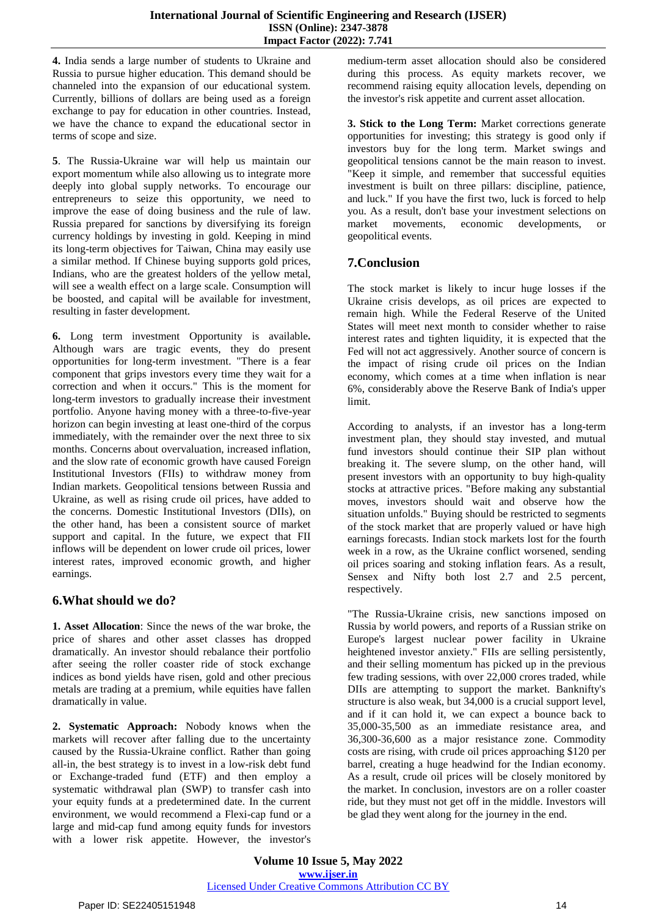**4.** India sends a large number of students to Ukraine and Russia to pursue higher education. This demand should be channeled into the expansion of our educational system. Currently, billions of dollars are being used as a foreign exchange to pay for education in other countries. Instead, we have the chance to expand the educational sector in terms of scope and size.

**5**. The Russia-Ukraine war will help us maintain our export momentum while also allowing us to integrate more deeply into global supply networks. To encourage our entrepreneurs to seize this opportunity, we need to improve the ease of doing business and the rule of law. Russia prepared for sanctions by diversifying its foreign currency holdings by investing in gold. Keeping in mind its long-term objectives for Taiwan, China may easily use a similar method. If Chinese buying supports gold prices, Indians, who are the greatest holders of the yellow metal, will see a wealth effect on a large scale. Consumption will be boosted, and capital will be available for investment, resulting in faster development.

**6.** Long term investment Opportunity is available**.** Although wars are tragic events, they do present opportunities for long-term investment. "There is a fear component that grips investors every time they wait for a correction and when it occurs." This is the moment for long-term investors to gradually increase their investment portfolio. Anyone having money with a three-to-five-year horizon can begin investing at least one-third of the corpus immediately, with the remainder over the next three to six months. Concerns about overvaluation, increased inflation, and the slow rate of economic growth have caused Foreign Institutional Investors (FIIs) to withdraw money from Indian markets. Geopolitical tensions between Russia and Ukraine, as well as rising crude oil prices, have added to the concerns. Domestic Institutional Investors (DIIs), on the other hand, has been a consistent source of market support and capital. In the future, we expect that FII inflows will be dependent on lower crude oil prices, lower interest rates, improved economic growth, and higher earnings.

## **6.What should we do?**

**1. Asset Allocation**: Since the news of the war broke, the price of shares and other asset classes has dropped dramatically. An investor should rebalance their portfolio after seeing the roller coaster ride of stock exchange indices as bond yields have risen, gold and other precious metals are trading at a premium, while equities have fallen dramatically in value.

**2. Systematic Approach:** Nobody knows when the markets will recover after falling due to the uncertainty caused by the Russia-Ukraine conflict. Rather than going all-in, the best strategy is to invest in a low-risk debt fund or Exchange-traded fund (ETF) and then employ a systematic withdrawal plan (SWP) to transfer cash into your equity funds at a predetermined date. In the current environment, we would recommend a Flexi-cap fund or a large and mid-cap fund among equity funds for investors with a lower risk appetite. However, the investor's

medium-term asset allocation should also be considered during this process. As equity markets recover, we recommend raising equity allocation levels, depending on the investor's risk appetite and current asset allocation.

**3. Stick to the Long Term:** Market corrections generate opportunities for investing; this strategy is good only if investors buy for the long term. Market swings and geopolitical tensions cannot be the main reason to invest. "Keep it simple, and remember that successful equities investment is built on three pillars: discipline, patience, and luck." If you have the first two, luck is forced to help you. As a result, don't base your investment selections on market movements, economic developments, or geopolitical events.

## **7.Conclusion**

The stock market is likely to incur huge losses if the Ukraine crisis develops, as oil prices are expected to remain high. While the Federal Reserve of the United States will meet next month to consider whether to raise interest rates and tighten liquidity, it is expected that the Fed will not act aggressively. Another source of concern is the impact of rising crude oil prices on the Indian economy, which comes at a time when inflation is near 6%, considerably above the Reserve Bank of India's upper limit.

According to analysts, if an investor has a long-term investment plan, they should stay invested, and mutual fund investors should continue their SIP plan without breaking it. The severe slump, on the other hand, will present investors with an opportunity to buy high-quality stocks at attractive prices. "Before making any substantial moves, investors should wait and observe how the situation unfolds." Buying should be restricted to segments of the stock market that are properly valued or have high earnings forecasts. Indian stock markets lost for the fourth week in a row, as the Ukraine conflict worsened, sending oil prices soaring and stoking inflation fears. As a result, Sensex and Nifty both lost 2.7 and 2.5 percent, respectively.

"The Russia-Ukraine crisis, new sanctions imposed on Russia by world powers, and reports of a Russian strike on Europe's largest nuclear power facility in Ukraine heightened investor anxiety." FIIs are selling persistently, and their selling momentum has picked up in the previous few trading sessions, with over 22,000 crores traded, while DIIs are attempting to support the market. Banknifty's structure is also weak, but 34,000 is a crucial support level, and if it can hold it, we can expect a bounce back to 35,000-35,500 as an immediate resistance area, and 36,300-36,600 as a major resistance zone. Commodity costs are rising, with crude oil prices approaching \$120 per barrel, creating a huge headwind for the Indian economy. As a result, crude oil prices will be closely monitored by the market. In conclusion, investors are on a roller coaster ride, but they must not get off in the middle. Investors will be glad they went along for the journey in the end.

**Volume 10 Issue 5, May 2022 www.ijser.in** Licensed Under Creative Commons Attribution CC BY